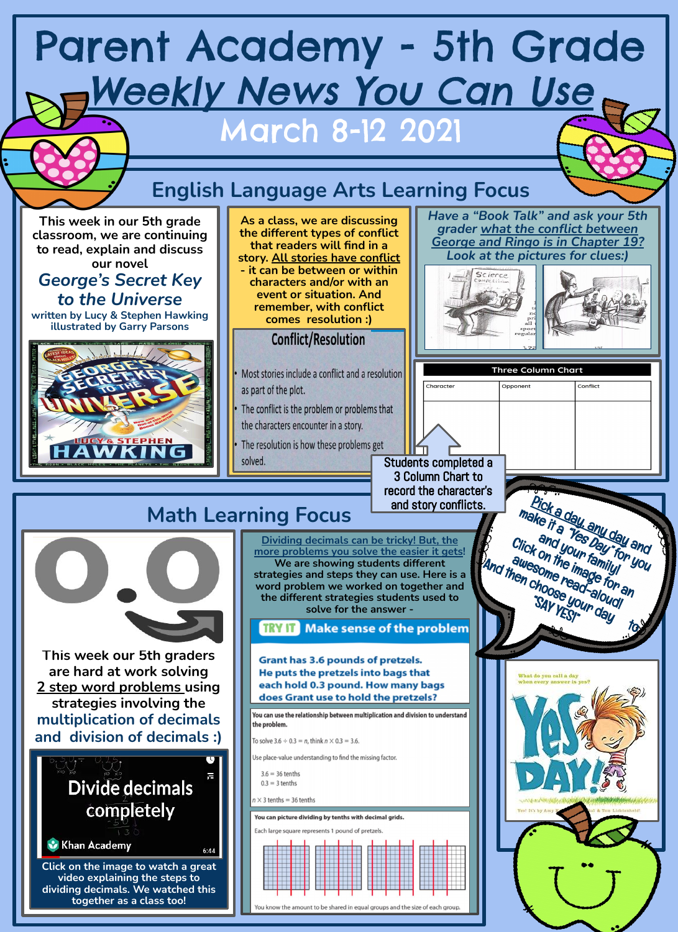